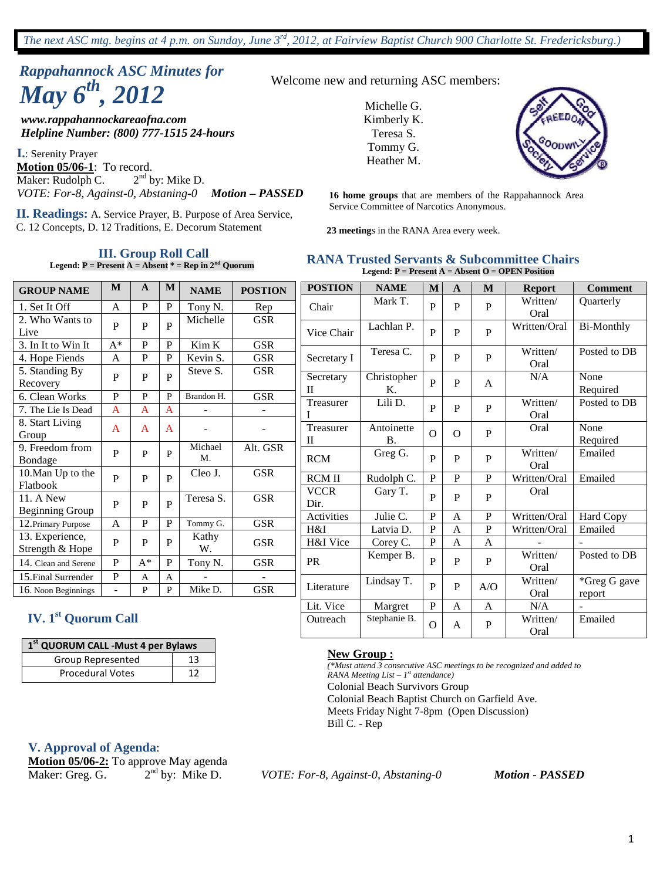# *Rappahannock ASC Minutes for May 6th, 2012*

*www.rappahannockareaofna.com Helpline Number: (800) 777-1515 24-hours*

**I.**: Serenity Prayer **Motion 05/06-1**: To record. Maker: Rudolph C. 2  $2<sup>nd</sup>$  by: Mike D. *VOTE: For-8, Against-0, Abstaning-0 Motion – PASSED*

Service Committee of Narcotics Anonymous. **II. Readings:** A. Service Prayer, B. Purpose of Area Service, C. 12 Concepts, D. 12 Traditions, E. Decorum Statement

#### **III. Group Roll Call**

**Legend: P = Present A = Absent \* = Rep in 2nd Quorum**

|  |  | Welcome new and returning ASC members: |
|--|--|----------------------------------------|
|--|--|----------------------------------------|

Michelle G. Kimberly K. Teresa S. Tommy G. Heather M.



**16 home groups** that are members of the Rappahannock Area

**23 meeting**s in the RANA Area every week.

#### **RANA Trusted Servants & Subcommittee Chairs Legend: P = Present A = Absent O = OPEN Position**

| <b>GROUP NAME</b>                                 | M                   | A              | M              | <b>NAME</b>   | <b>POSTION</b> | <b>POSTION</b>            | <b>NAME</b>             | M                | A                   | M                         | <b>Report</b>    | <b>Comment</b>    |
|---------------------------------------------------|---------------------|----------------|----------------|---------------|----------------|---------------------------|-------------------------|------------------|---------------------|---------------------------|------------------|-------------------|
| 1. Set It Off                                     | $\mathbf{A}$        | ${\bf P}$      | P              | Tony N.       | Rep            | Chair                     | Mark T.                 | P                | P                   | $\mathbf{P}$              | Written/<br>Oral | Quarterly         |
| 2. Who Wants to<br>Live                           | P                   | $\mathbf{P}$   | $\mathbf{P}$   | Michelle      | <b>GSR</b>     | Vice Chair                | Lachlan P.              | $\mathbf{P}$     | P                   | ${\bf P}$                 | Written/Oral     | <b>Bi-Monthly</b> |
| $\overline{3}$ . In It to Win It                  | $A^*$               | P              | P              | Kim K         | <b>GSR</b>     |                           | Teresa C.               |                  |                     |                           | Written/         | Posted to DB      |
| 4. Hope Fiends                                    | $\mathbf{A}$        | P              | P              | Kevin S.      | <b>GSR</b>     | Secretary I               |                         | $\overline{P}$   | P                   | $\mathbf{P}$              | Oral             |                   |
| 5. Standing By<br>Recovery                        | $\mathbf P$         | $\mathbf P$    | $\mathbf P$    | Steve S.      | <b>GSR</b>     | Secretary<br>$\mathbf{I}$ | Christopher<br>K.       | P                | P                   | $\mathbf{A}$              | N/A              | None<br>Required  |
| 6. Clean Works<br>7. The Lie Is Dead              | P<br>$\overline{A}$ | P<br>A         | P<br>A         | Brandon H.    | <b>GSR</b>     | Treasurer                 | Lili D.                 | P                | P                   | P                         | Written/         | Posted to DB      |
| 8. Start Living<br>Group                          | $\overline{A}$      | A              | $\overline{A}$ |               |                | Treasurer<br>П            | Antoinette<br><b>B.</b> | $\Omega$         | $\Omega$            | ${\bf P}$                 | Oral<br>Oral     | None<br>Required  |
| 9. Freedom from<br>Bondage                        | $\mathbf P$         | P              | P              | Michael<br>M. | Alt. GSR       | RCM                       | Greg G.                 | P                | $\mathbf{P}$        | ${\bf P}$                 | Written/<br>Oral | Emailed           |
| 10. Man Up to the<br>Flatbook                     | $\mathbf P$         | $\mathbf P$    | $\overline{P}$ | Cleo J.       | <b>GSR</b>     | <b>RCM II</b>             | Rudolph C.              | $\mathbf{P}$     | $\mathbf{P}$        | $\mathbf{P}$              | Written/Oral     | Emailed           |
| $\overline{11}$ . A New<br><b>Beginning Group</b> | $\mathbf{P}$        | $\mathbf P$    | $\mathbf{P}$   | Teresa S.     | <b>GSR</b>     | <b>VCCR</b><br>Dir.       | Gary T.                 | P                | P                   | $\mathbf P$               | Oral             |                   |
| 12. Primary Purpose                               | $\mathbf{A}$        | $\mathbf P$    | P              | Tommy G.      | <b>GSR</b>     | Activities                | Julie C.                | P                | A                   | $\mathbf P$               | Written/Oral     | Hard Copy         |
| 13. Experience,<br>Strength & Hope                | P                   | P              | $\mathbf P$    | Kathy<br>W.   | <b>GSR</b>     | H&I<br>H&I Vice           | Latvia D.<br>Corey C.   | $\mathbf P$<br>P | $\overline{A}$<br>A | ${\bf P}$<br>$\mathbf{A}$ | Written/Oral     | Emailed           |
| 14. Clean and Serene                              | $\mathbf P$         | $\mathrm{A}^*$ | P              | Tony N.       | <b>GSR</b>     | PR                        | Kemper B.               | P                | P                   | $\mathbf P$               | Written/<br>Oral | Posted to DB      |
| 15. Final Surrender                               | P                   | A              | A              |               |                |                           | Lindsay T.              |                  |                     |                           | Written/         | *Greg G gave      |
| 16. Noon Beginnings                               |                     | P              | P              | Mike D.       | <b>GSR</b>     | Literature                |                         | P                | $\mathbf P$         | A/O                       | Oral             | report            |
|                                                   |                     |                |                |               |                | Lit. Vice                 | Margret                 | ${\bf P}$        | $\mathbf{A}$        | $\mathbf{A}$              | N/A              |                   |
| <b>IV. 1st Quorum Call</b>                        |                     |                |                |               |                | Outreach                  | Stephanie B.            | $\overline{O}$   | A                   | $\, {\bf P}$              | Written/<br>Oral | Emailed           |
| 1 <sup>st</sup> QUORUM CALL -Must 4 per Bylaws    |                     |                |                |               |                | $\mathbf{v}$<br>$\sim$    |                         |                  |                     |                           |                  |                   |

**New Group :** *(\*Must attend 3 consecutive ASC meetings to be recognized and added to RANA Meeting List – 1 st attendance)* Colonial Beach Survivors Group Colonial Beach Baptist Church on Garfield Ave. Meets Friday Night 7-8pm (Open Discussion) Bill C. - Rep

#### **V. Approval of Agenda**:

**Motion 05/06-2:** To approve May agenda Maker: Greg. G.  $2<sup>nd</sup>$  by: Mike D.

Group Represented 13 Procedural Votes 12

by: Mike D. *VOTE: For-8, Against-0, Abstaning-0 Motion - PASSED*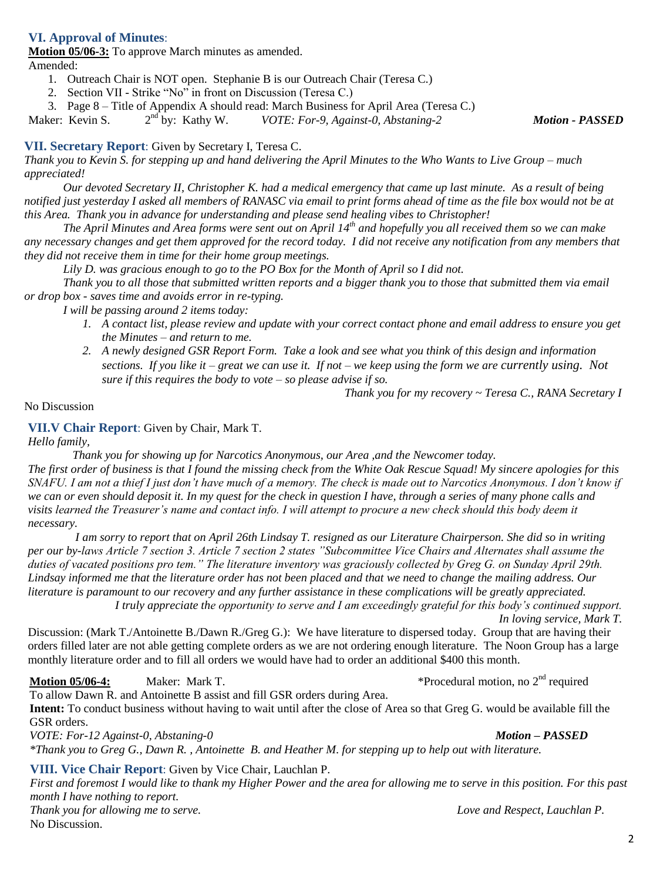# **VI. Approval of Minutes**:

**Motion 05/06-3:** To approve March minutes as amended.

Amended:

- 1. Outreach Chair is NOT open. Stephanie B is our Outreach Chair (Teresa C.)
- 2. Section VII Strike "No" in front on Discussion (Teresa C.)
- 3. Page 8 Title of Appendix A should read: March Business for April Area (Teresa C.)

Maker: Kevin S.  $2<sup>nd</sup>$  by: Kathy W. nd by: Kathy W. *VOTE: For-9, Against-0, Abstaning-2 Motion - PASSED*

#### **VII. Secretary Report**: Given by Secretary I, Teresa C.

*Thank you to Kevin S. for stepping up and hand delivering the April Minutes to the Who Wants to Live Group – much appreciated!* 

*Our devoted Secretary II, Christopher K. had a medical emergency that came up last minute. As a result of being notified just yesterday I asked all members of RANASC via email to print forms ahead of time as the file box would not be at this Area. Thank you in advance for understanding and please send healing vibes to Christopher!* 

*The April Minutes and Area forms were sent out on April 14th and hopefully you all received them so we can make any necessary changes and get them approved for the record today. I did not receive any notification from any members that they did not receive them in time for their home group meetings.* 

*Lily D. was gracious enough to go to the PO Box for the Month of April so I did not.*

*Thank you to all those that submitted written reports and a bigger thank you to those that submitted them via email or drop box - saves time and avoids error in re-typing.* 

*I will be passing around 2 items today:*

- *1. A contact list, please review and update with your correct contact phone and email address to ensure you get the Minutes – and return to me.*
- *Sections.* If you like it great we can use it. If not we keep using<br>*sure if this requires the body to vote so please advise if so. 2. A newly designed GSR Report Form. Take a look and see what you think of this design and information sections. If you like it – great we can use it. If not – we keep using the form we are currently using. Not*

*Thank you for my recovery ~ Teresa C., RANA Secretary I*

No Discussion

#### **VII.V Chair Report**: Given by Chair, Mark T.

*Hello family,*

 *Thank you for showing up for Narcotics Anonymous, our Area ,and the Newcomer today. The first order of business is that I found the missing check from the White Oak Rescue Squad! My sincere apologies for this SNAFU. I am not a thief I just don't have much of a memory. The check is made out to Narcotics Anonymous. I don't know if we can or even should deposit it. In my quest for the check in question I have, through a series of many phone calls and visits learned the Treasurer's name and contact info. I will attempt to procure a new check should this body deem it necessary.* 

 *I am sorry to report that on April 26th Lindsay T. resigned as our Literature Chairperson. She did so in writing per our by-laws Article 7 section 3. Article 7 section 2 states "Subcommittee Vice Chairs and Alternates shall assume the duties of vacated positions pro tem." The literature inventory was graciously collected by Greg G. on Sunday April 29th. Lindsay informed me that the literature order has not been placed and that we need to change the mailing address. Our literature is paramount to our recovery and any further assistance in these complications will be greatly appreciated. I truly appreciate the opportunity to serve and I am exceedingly grateful for this body's continued support.* 

*In loving service, Mark T.*

Discussion: (Mark T./Antoinette B./Dawn R./Greg G.): We have literature to dispersed today. Group that are having their orders filled later are not able getting complete orders as we are not ordering enough literature. The Noon Group has a large monthly literature order and to fill all orders we would have had to order an additional \$400 this month.

# **Motion 05/06-4:** Maker: Mark T.  $\bullet$  \*Procedural motion, no 2<sup>nd</sup> required

To allow Dawn R. and Antoinette B assist and fill GSR orders during Area.

**Intent:** To conduct business without having to wait until after the close of Area so that Greg G. would be available fill the GSR orders.

*VOTE: For-12 Against-0, Abstaning-0 Motion – PASSED \*Thank you to Greg G., Dawn R. , Antoinette B. and Heather M. for stepping up to help out with literature.*

**VIII. Vice Chair Report**: Given by Vice Chair, Lauchlan P.

*First and foremost I would like to thank my Higher Power and the area for allowing me to serve in this position. For this past month I have nothing to report. Thank you for allowing me to serve. Love and Respect, Lauchlan P.* No Discussion.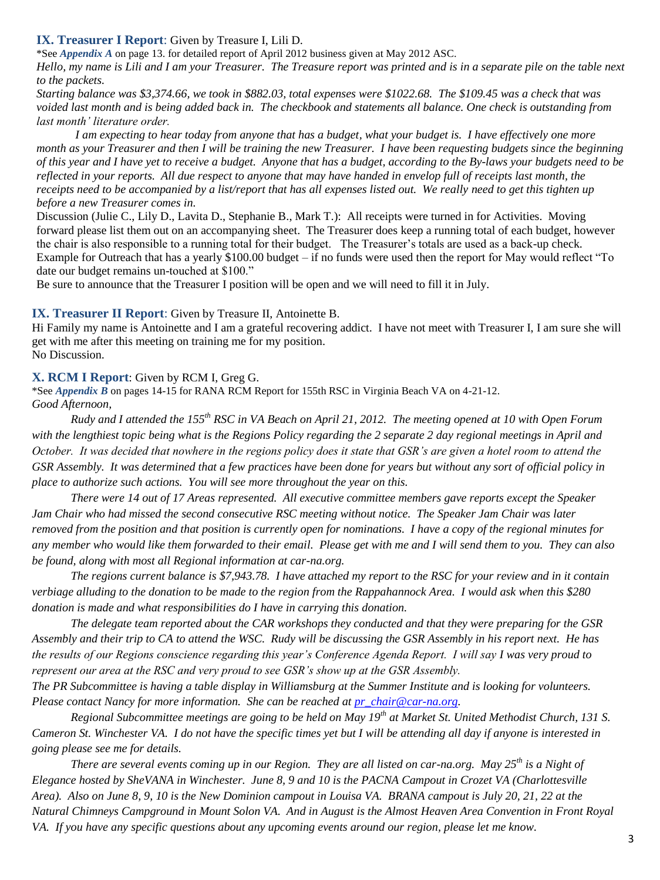#### **IX. Treasurer I Report**: Given by Treasure I, Lili D.

\*See *Appendix A* on page 13. for detailed report of April 2012 business given at May 2012 ASC.

*Hello, my name is Lili and I am your Treasurer. The Treasure report was printed and is in a separate pile on the table next to the packets.* 

*Starting balance was \$3,374.66, we took in \$882.03, total expenses were \$1022.68. The \$109.45 was a check that was voided last month and is being added back in. The checkbook and statements all balance. One check is outstanding from last month' literature order.*

*I am expecting to hear today from anyone that has a budget, what your budget is. I have effectively one more month as your Treasurer and then I will be training the new Treasurer. I have been requesting budgets since the beginning of this year and I have yet to receive a budget. Anyone that has a budget, according to the By-laws your budgets need to be reflected in your reports. All due respect to anyone that may have handed in envelop full of receipts last month, the receipts need to be accompanied by a list/report that has all expenses listed out. We really need to get this tighten up before a new Treasurer comes in.*

Discussion (Julie C., Lily D., Lavita D., Stephanie B., Mark T.): All receipts were turned in for Activities. Moving forward please list them out on an accompanying sheet. The Treasurer does keep a running total of each budget, however the chair is also responsible to a running total for their budget. The Treasurer's totals are used as a back-up check. Example for Outreach that has a yearly \$100.00 budget – if no funds were used then the report for May would reflect "To date our budget remains un-touched at \$100."

Be sure to announce that the Treasurer I position will be open and we will need to fill it in July.

#### **IX. Treasurer II Report**: Given by Treasure II, Antoinette B.

Hi Family my name is Antoinette and I am a grateful recovering addict. I have not meet with Treasurer I, I am sure she will get with me after this meeting on training me for my position. No Discussion.

#### **X. RCM I Report**: Given by RCM I, Greg G.

\*See *Appendix B* on pages 14-15 for RANA RCM Report for 155th RSC in Virginia Beach VA on 4-21-12. *Good Afternoon,*

*Rudy and I attended the 155th RSC in VA Beach on April 21, 2012. The meeting opened at 10 with Open Forum with the lengthiest topic being what is the Regions Policy regarding the 2 separate 2 day regional meetings in April and October. It was decided that nowhere in the regions policy does it state that GSR's are given a hotel room to attend the GSR Assembly. It was determined that a few practices have been done for years but without any sort of official policy in place to authorize such actions. You will see more throughout the year on this.*

*There were 14 out of 17 Areas represented. All executive committee members gave reports except the Speaker Jam Chair who had missed the second consecutive RSC meeting without notice. The Speaker Jam Chair was later removed from the position and that position is currently open for nominations. I have a copy of the regional minutes for any member who would like them forwarded to their email. Please get with me and I will send them to you. They can also be found, along with most all Regional information at car-na.org.* 

*The regions current balance is \$7,943.78. I have attached my report to the RSC for your review and in it contain verbiage alluding to the donation to be made to the region from the Rappahannock Area. I would ask when this \$280 donation is made and what responsibilities do I have in carrying this donation.*

*The delegate team reported about the CAR workshops they conducted and that they were preparing for the GSR Assembly and their trip to CA to attend the WSC. Rudy will be discussing the GSR Assembly in his report next. He has the results of our Regions conscience regarding this year's Conference Agenda Report. I will say I was very proud to represent our area at the RSC and very proud to see GSR's show up at the GSR Assembly.*

*The PR Subcommittee is having a table display in Williamsburg at the Summer Institute and is looking for volunteers. Please contact Nancy for more information. She can be reached at [pr\\_chair@car-na.org.](mailto:pr_chair@car-na.org)*

*Regional Subcommittee meetings are going to be held on May 19th at Market St. United Methodist Church, 131 S. Cameron St. Winchester VA. I do not have the specific times yet but I will be attending all day if anyone is interested in going please see me for details.*

*There are several events coming up in our Region. They are all listed on car-na.org. May 25th is a Night of Elegance hosted by SheVANA in Winchester. June 8, 9 and 10 is the PACNA Campout in Crozet VA (Charlottesville Area). Also on June 8, 9, 10 is the New Dominion campout in Louisa VA. BRANA campout is July 20, 21, 22 at the Natural Chimneys Campground in Mount Solon VA. And in August is the Almost Heaven Area Convention in Front Royal VA. If you have any specific questions about any upcoming events around our region, please let me know.*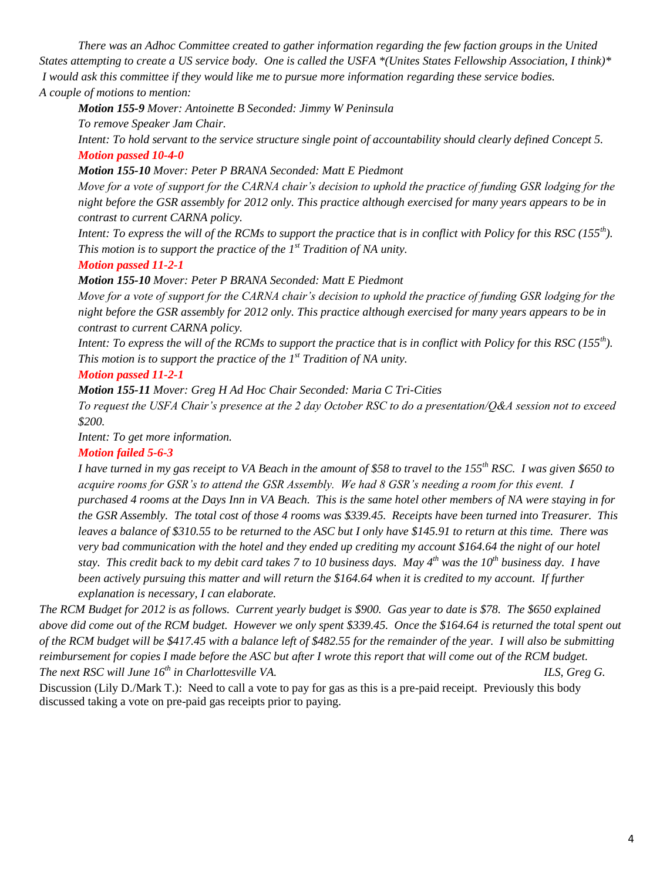*There was an Adhoc Committee created to gather information regarding the few faction groups in the United States attempting to create a US service body. One is called the USFA \*(Unites States Fellowship Association, I think)\* I would ask this committee if they would like me to pursue more information regarding these service bodies. A couple of motions to mention:*

### *Motion 155-9 Mover: Antoinette B Seconded: Jimmy W Peninsula*

*To remove Speaker Jam Chair.*

*Intent: To hold servant to the service structure single point of accountability should clearly defined Concept 5. Motion passed 10-4-0*

#### *Motion 155-10 Mover: Peter P BRANA Seconded: Matt E Piedmont*

*Move for a vote of support for the CARNA chair's decision to uphold the practice of funding GSR lodging for the night before the GSR assembly for 2012 only. This practice although exercised for many years appears to be in contrast to current CARNA policy.*

*Intent: To express the will of the RCMs to support the practice that is in conflict with Policy for this RSC (155th). This motion is to support the practice of the 1st Tradition of NA unity.*

#### *Motion passed 11-2-1*

*Motion 155-10 Mover: Peter P BRANA Seconded: Matt E Piedmont*

*Move for a vote of support for the CARNA chair's decision to uphold the practice of funding GSR lodging for the night before the GSR assembly for 2012 only. This practice although exercised for many years appears to be in contrast to current CARNA policy.*

*Intent: To express the will of the RCMs to support the practice that is in conflict with Policy for this RSC (155th). This motion is to support the practice of the 1st Tradition of NA unity.*

#### *Motion passed 11-2-1*

*Motion 155-11 Mover: Greg H Ad Hoc Chair Seconded: Maria C Tri-Cities*

*To request the USFA Chair's presence at the 2 day October RSC to do a presentation/Q&A session not to exceed \$200.*

*Intent: To get more information.*

# *Motion failed 5-6-3*

*I have turned in my gas receipt to VA Beach in the amount of \$58 to travel to the 155th RSC. I was given \$650 to acquire rooms for GSR's to attend the GSR Assembly. We had 8 GSR's needing a room for this event. I purchased 4 rooms at the Days Inn in VA Beach. This is the same hotel other members of NA were staying in for the GSR Assembly. The total cost of those 4 rooms was \$339.45. Receipts have been turned into Treasurer. This leaves a balance of \$310.55 to be returned to the ASC but I only have \$145.91 to return at this time. There was very bad communication with the hotel and they ended up crediting my account \$164.64 the night of our hotel stay. This credit back to my debit card takes 7 to 10 business days. May 4th was the 10th business day. I have been actively pursuing this matter and will return the \$164.64 when it is credited to my account. If further explanation is necessary, I can elaborate.*

*The RCM Budget for 2012 is as follows. Current yearly budget is \$900. Gas year to date is \$78. The \$650 explained above did come out of the RCM budget. However we only spent \$339.45. Once the \$164.64 is returned the total spent out of the RCM budget will be \$417.45 with a balance left of \$482.55 for the remainder of the year. I will also be submitting reimbursement for copies I made before the ASC but after I wrote this report that will come out of the RCM budget. The next RSC will June 16<sup>th</sup> in Charlottesville VA.* ILS, Greg G.

Discussion (Lily D./Mark T.): Need to call a vote to pay for gas as this is a pre-paid receipt. Previously this body discussed taking a vote on pre-paid gas receipts prior to paying.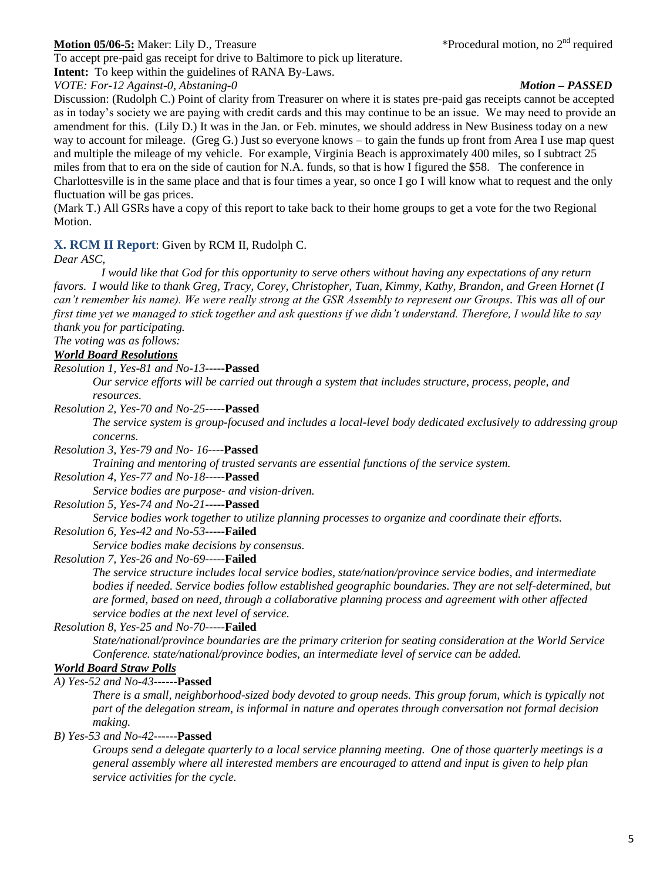# **Motion 05/06-5:** Maker: Lily D., Treasure

To accept pre-paid gas receipt for drive to Baltimore to pick up literature.

**Intent:** To keep within the guidelines of RANA By-Laws.

*VOTE: For-12 Against-0, Abstaning-0 Motion – PASSED*

\*Procedural motion, no 2<sup>nd</sup> required

Discussion: (Rudolph C.) Point of clarity from Treasurer on where it is states pre-paid gas receipts cannot be accepted as in today's society we are paying with credit cards and this may continue to be an issue. We may need to provide an amendment for this. (Lily D.) It was in the Jan. or Feb. minutes, we should address in New Business today on a new way to account for mileage. (Greg G.) Just so everyone knows – to gain the funds up front from Area I use map quest and multiple the mileage of my vehicle. For example, Virginia Beach is approximately 400 miles, so I subtract 25 miles from that to era on the side of caution for N.A. funds, so that is how I figured the \$58. The conference in Charlottesville is in the same place and that is four times a year, so once I go I will know what to request and the only fluctuation will be gas prices.

(Mark T.) All GSRs have a copy of this report to take back to their home groups to get a vote for the two Regional Motion.

# **X. RCM II Report**: Given by RCM II, Rudolph C.

*Dear ASC,* 

 *I would like that God for this opportunity to serve others without having any expectations of any return favors. I would like to thank Greg, Tracy, Corey, Christopher, Tuan, Kimmy, Kathy, Brandon, and Green Hornet (I can't remember his name). We were really strong at the GSR Assembly to represent our Groups. This was all of our first time yet we managed to stick together and ask questions if we didn't understand. Therefore, I would like to say thank you for participating.*

*The voting was as follows:*

#### *World Board Resolutions*

#### *Resolution 1, Yes-81 and No-13-----***Passed**

*Our service efforts will be carried out through a system that includes structure, process, people, and resources.*

*Resolution 2, Yes-70 and No-25-----***Passed**

*The service system is group-focused and includes a local-level body dedicated exclusively to addressing group concerns.*

*Resolution 3, Yes-79 and No- 16----***Passed**

*Training and mentoring of trusted servants are essential functions of the service system.*

#### *Resolution 4, Yes-77 and No-18-----***Passed**

*Service bodies are purpose- and vision-driven.*

#### *Resolution 5, Yes-74 and No-21-----***Passed**

*Service bodies work together to utilize planning processes to organize and coordinate their efforts.*

*Resolution 6, Yes-42 and No-53-----***Failed**

*Service bodies make decisions by consensus.*

#### *Resolution 7, Yes-26 and No-69-----***Failed**

*The service structure includes local service bodies, state/nation/province service bodies, and intermediate bodies if needed. Service bodies follow established geographic boundaries. They are not self-determined, but are formed, based on need, through a collaborative planning process and agreement with other affected service bodies at the next level of service.*

*Resolution 8, Yes-25 and No-70-----***Failed**

*State/national/province boundaries are the primary criterion for seating consideration at the World Service Conference. state/national/province bodies, an intermediate level of service can be added.*

#### *World Board Straw Polls*

*A) Yes-52 and No-43------***Passed**

*There is a small, neighborhood-sized body devoted to group needs. This group forum, which is typically not part of the delegation stream, is informal in nature and operates through conversation not formal decision making.*

*B) Yes-53 and No-42------***Passed**

*Groups send a delegate quarterly to a local service planning meeting. One of those quarterly meetings is a general assembly where all interested members are encouraged to attend and input is given to help plan service activities for the cycle.*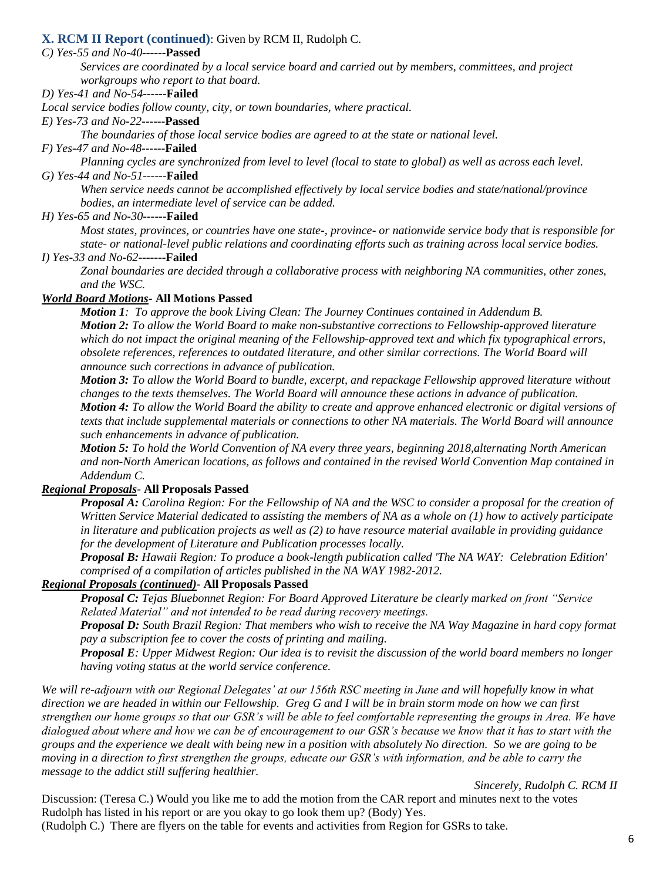## **X. RCM II Report (continued)**: Given by RCM II, Rudolph C.

#### *C) Yes-55 and No-40------***Passed**

*Services are coordinated by a local service board and carried out by members, committees, and project workgroups who report to that board.*

*D) Yes-41 and No-54------***Failed**

*Local service bodies follow county, city, or town boundaries, where practical.*

*E) Yes-73 and No-22------***Passed**

*The boundaries of those local service bodies are agreed to at the state or national level.*

#### *F) Yes-47 and No-48------***Failed**

*Planning cycles are synchronized from level to level (local to state to global) as well as across each level. G) Yes-44 and No-51------***Failed**

*When service needs cannot be accomplished effectively by local service bodies and state/national/province bodies, an intermediate level of service can be added.*

*H) Yes-65 and No-30------***Failed**

*Most states, provinces, or countries have one state-, province- or nationwide service body that is responsible for state- or national-level public relations and coordinating efforts such as training across local service bodies.*

*I) Yes-33 and No-62-------***Failed**

*Zonal boundaries are decided through a collaborative process with neighboring NA communities, other zones, and the WSC.*

#### *World Board Motions-* **All Motions Passed**

*Motion 1: To approve the book Living Clean: The Journey Continues contained in Addendum B. Motion 2: To allow the World Board to make non-substantive corrections to Fellowship-approved literature which do not impact the original meaning of the Fellowship-approved text and which fix typographical errors, obsolete references, references to outdated literature, and other similar corrections. The World Board will announce such corrections in advance of publication.*

*Motion 3: To allow the World Board to bundle, excerpt, and repackage Fellowship approved literature without changes to the texts themselves. The World Board will announce these actions in advance of publication. Motion 4: To allow the World Board the ability to create and approve enhanced electronic or digital versions of texts that include supplemental materials or connections to other NA materials. The World Board will announce such enhancements in advance of publication.*

*Motion 5: To hold the World Convention of NA every three years, beginning 2018,alternating North American and non-North American locations, as follows and contained in the revised World Convention Map contained in Addendum C.*

#### *Regional Proposals-* **All Proposals Passed**

*Proposal A: Carolina Region: For the Fellowship of NA and the WSC to consider a proposal for the creation of Written Service Material dedicated to assisting the members of NA as a whole on (1) how to actively participate in literature and publication projects as well as (2) to have resource material available in providing guidance for the development of Literature and Publication processes locally.*

*Proposal B: Hawaii Region: To produce a book-length publication called 'The NA WAY: Celebration Edition' comprised of a compilation of articles published in the NA WAY 1982-2012.*

#### *Regional Proposals (continued)-* **All Proposals Passed**

*Proposal C: Tejas Bluebonnet Region: For Board Approved Literature be clearly marked on front "Service Related Material" and not intended to be read during recovery meetings.*

*Proposal D: South Brazil Region: That members who wish to receive the NA Way Magazine in hard copy format pay a subscription fee to cover the costs of printing and mailing.*

*Proposal E: Upper Midwest Region: Our idea is to revisit the discussion of the world board members no longer having voting status at the world service conference.*

We will re-adjourn with our Regional Delegates' at our 156th RSC meeting in June and will hopefully know in what *direction we are headed in within our Fellowship. Greg G and I will be in brain storm mode on how we can first strengthen our home groups so that our GSR's will be able to feel comfortable representing the groups in Area. We have dialogued about where and how we can be of encouragement to our GSR's because we know that it has to start with the groups and the experience we dealt with being new in a position with absolutely No direction. So we are going to be moving in a direction to first strengthen the groups, educate our GSR's with information, and be able to carry the message to the addict still suffering healthier.* 

*Sincerely, Rudolph C. RCM II*

Discussion: (Teresa C.) Would you like me to add the motion from the CAR report and minutes next to the votes Rudolph has listed in his report or are you okay to go look them up? (Body) Yes. (Rudolph C.) There are flyers on the table for events and activities from Region for GSRs to take.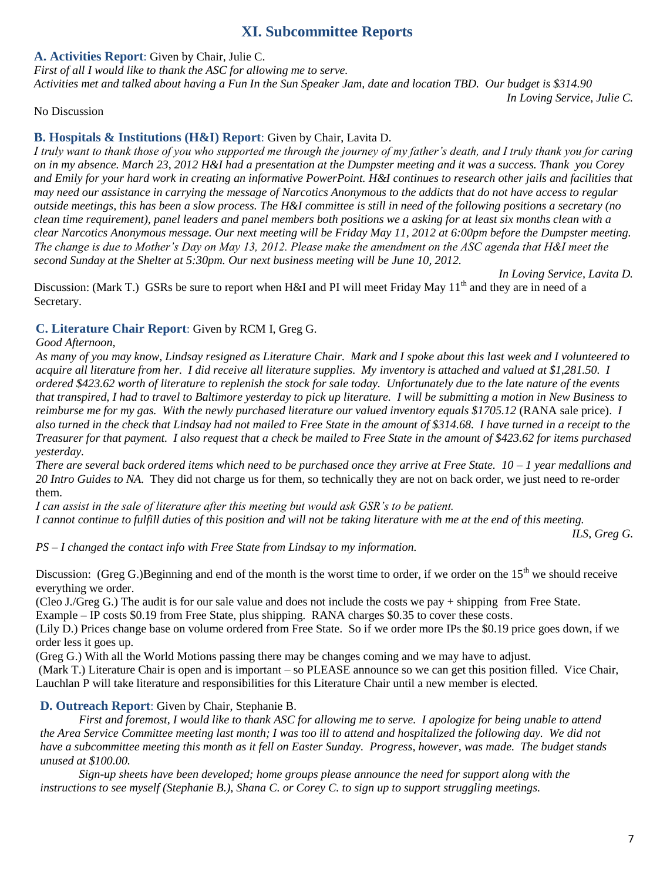# **XI. Subcommittee Reports**

**A. Activities Report**: Given by Chair, Julie C.

*First of all I would like to thank the ASC for allowing me to serve.* 

*Activities met and talked about having a Fun In the Sun Speaker Jam, date and location TBD. Our budget is \$314.90 In Loving Service, Julie C.*

No Discussion

# **B. Hospitals & Institutions (H&I) Report**: Given by Chair, Lavita D.

*I truly want to thank those of you who supported me through the journey of my father's death, and I truly thank you for caring on in my absence. March 23, 2012 H&I had a presentation at the Dumpster meeting and it was a success. Thank you Corey and Emily for your hard work in creating an informative PowerPoint. H&I continues to research other jails and facilities that may need our assistance in carrying the message of Narcotics Anonymous to the addicts that do not have access to regular outside meetings, this has been a slow process. The H&I committee is still in need of the following positions a secretary (no clean time requirement), panel leaders and panel members both positions we a asking for at least six months clean with a clear Narcotics Anonymous message. Our next meeting will be Friday May 11, 2012 at 6:00pm before the Dumpster meeting. The change is due to Mother's Day on May 13, 2012. Please make the amendment on the ASC agenda that H&I meet the second Sunday at the Shelter at 5:30pm. Our next business meeting will be June 10, 2012.*

*In Loving Service, Lavita D.* Discussion: (Mark T.) GSRs be sure to report when H&I and PI will meet Friday May  $11<sup>th</sup>$  and they are in need of a Secretary.

# **C. Literature Chair Report**: Given by RCM I, Greg G.

*Good Afternoon,*

*As many of you may know, Lindsay resigned as Literature Chair. Mark and I spoke about this last week and I volunteered to acquire all literature from her. I did receive all literature supplies. My inventory is attached and valued at \$1,281.50. I ordered \$423.62 worth of literature to replenish the stock for sale today. Unfortunately due to the late nature of the events that transpired, I had to travel to Baltimore yesterday to pick up literature. I will be submitting a motion in New Business to reimburse me for my gas. With the newly purchased literature our valued inventory equals \$1705.12* (RANA sale price). *I also turned in the check that Lindsay had not mailed to Free State in the amount of \$314.68. I have turned in a receipt to the Treasurer for that payment. I also request that a check be mailed to Free State in the amount of \$423.62 for items purchased yesterday.*

*There are several back ordered items which need to be purchased once they arrive at Free State. 10 – 1 year medallions and 20 Intro Guides to NA.* They did not charge us for them, so technically they are not on back order, we just need to re-order them.

*I can assist in the sale of literature after this meeting but would ask GSR's to be patient. I cannot continue to fulfill duties of this position and will not be taking literature with me at the end of this meeting.*

*ILS, Greg G.*

*PS – I changed the contact info with Free State from Lindsay to my information.*

Discussion: (Greg G.)Beginning and end of the month is the worst time to order, if we order on the  $15<sup>th</sup>$  we should receive everything we order.

(Cleo J./Greg G.) The audit is for our sale value and does not include the costs we pay + shipping from Free State.

Example – IP costs \$0.19 from Free State, plus shipping. RANA charges \$0.35 to cover these costs.

(Lily D.) Prices change base on volume ordered from Free State. So if we order more IPs the \$0.19 price goes down, if we order less it goes up.

(Greg G.) With all the World Motions passing there may be changes coming and we may have to adjust.

(Mark T.) Literature Chair is open and is important – so PLEASE announce so we can get this position filled. Vice Chair, Lauchlan P will take literature and responsibilities for this Literature Chair until a new member is elected*.*

# **D. Outreach Report**: Given by Chair, Stephanie B.

*First and foremost, I would like to thank ASC for allowing me to serve. I apologize for being unable to attend the Area Service Committee meeting last month; I was too ill to attend and hospitalized the following day. We did not have a subcommittee meeting this month as it fell on Easter Sunday. Progress, however, was made. The budget stands unused at \$100.00.*

*Sign-up sheets have been developed; home groups please announce the need for support along with the instructions to see myself (Stephanie B.), Shana C. or Corey C. to sign up to support struggling meetings.*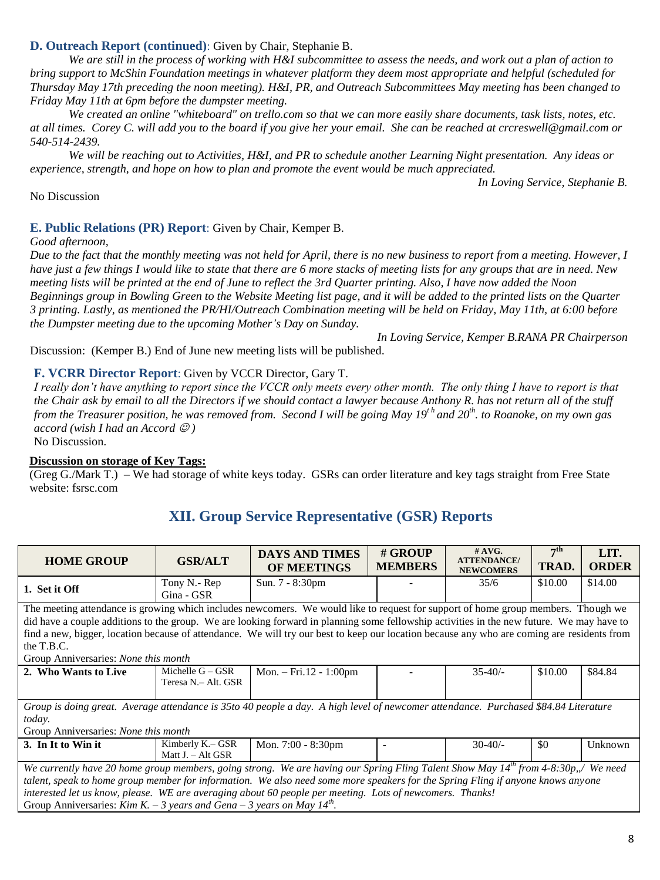# **D. Outreach Report (continued)**: Given by Chair, Stephanie B.

*We are still in the process of working with H&I subcommittee to assess the needs, and work out a plan of action to bring support to McShin Foundation meetings in whatever platform they deem most appropriate and helpful (scheduled for Thursday May 17th preceding the noon meeting). H&I, PR, and Outreach Subcommittees May meeting has been changed to Friday May 11th at 6pm before the dumpster meeting.*

*We created an online "whiteboard" on trello.com so that we can more easily share documents, task lists, notes, etc. at all times. Corey C. will add you to the board if you give her your email. She can be reached at crcreswell@gmail.com or 540-514-2439.*

*We will be reaching out to Activities, H&I, and PR to schedule another Learning Night presentation. Any ideas or experience, strength, and hope on how to plan and promote the event would be much appreciated.*

*In Loving Service, Stephanie B.*

#### No Discussion

#### **E. Public Relations (PR) Report**: Given by Chair, Kemper B.

#### *Good afternoon,*

*Due to the fact that the monthly meeting was not held for April, there is no new business to report from a meeting. However, I have just a few things I would like to state that there are 6 more stacks of meeting lists for any groups that are in need. New meeting lists will be printed at the end of June to reflect the 3rd Quarter printing. Also, I have now added the Noon Beginnings group in Bowling Green to the Website Meeting list page, and it will be added to the printed lists on the Quarter 3 printing. Lastly, as mentioned the PR/HI/Outreach Combination meeting will be held on Friday, May 11th, at 6:00 before the Dumpster meeting due to the upcoming Mother's Day on Sunday.*

*In Loving Service, Kemper B.RANA PR Chairperson*

Discussion: (Kemper B.) End of June new meeting lists will be published.

# **F. VCRR Director Report**: Given by VCCR Director, Gary T.

*I really don't have anything to report since the VCCR only meets every other month. The only thing I have to report is that the Chair ask by email to all the Directors if we should contact a lawyer because Anthony R. has not return all of the stuff from the Treasurer position, he was removed from. Second I will be going May 19<sup><i>th*</sup> and 20<sup>*th*</sup>, to Roanoke, on my own gas *accord (wish I had an Accord*  $\odot$ *)* 

No Discussion.

# **Discussion on storage of Key Tags:**

(Greg G./Mark T.) – We had storage of white keys today. GSRs can order literature and key tags straight from Free State website: fsrsc.com

| <b>HOME GROUP</b>                                                                                                                                         | <b>GSR/ALT</b>       | <b>DAYS AND TIMES</b><br>OF MEETINGS | # GROUP<br><b>MEMBERS</b> | #AVG.<br><b>ATTENDANCE/</b><br><b>NEWCOMERS</b> | 7 <sup>th</sup><br>TRAD. | LIT.<br><b>ORDER</b> |
|-----------------------------------------------------------------------------------------------------------------------------------------------------------|----------------------|--------------------------------------|---------------------------|-------------------------------------------------|--------------------------|----------------------|
| 1. Set it Off                                                                                                                                             | Tony N.- Rep         | Sun. 7 - 8:30pm                      |                           | 35/6                                            | \$10.00                  | \$14.00              |
|                                                                                                                                                           | Gina - GSR           |                                      |                           |                                                 |                          |                      |
| The meeting attendance is growing which includes newcomers. We would like to request for support of home group members. Though we                         |                      |                                      |                           |                                                 |                          |                      |
| did have a couple additions to the group. We are looking forward in planning some fellowship activities in the new future. We may have to                 |                      |                                      |                           |                                                 |                          |                      |
| find a new, bigger, location because of attendance. We will try our best to keep our location because any who are coming are residents from<br>the T.B.C. |                      |                                      |                           |                                                 |                          |                      |
| Group Anniversaries: None this month                                                                                                                      |                      |                                      |                           |                                                 |                          |                      |
| 2. Who Wants to Live                                                                                                                                      | Michelle $G - GSR$   | Mon. $-Fri.12 - 1:00$ pm             |                           | $35 - 40/$                                      | \$10.00                  | \$84.84              |
|                                                                                                                                                           | Teresa N. – Alt. GSR |                                      |                           |                                                 |                          |                      |
|                                                                                                                                                           |                      |                                      |                           |                                                 |                          |                      |
| Group is doing great. Average attendance is 35to 40 people a day. A high level of newcomer attendance. Purchased \$84.84 Literature                       |                      |                                      |                           |                                                 |                          |                      |
| today.<br>Group Anniversaries: None this month                                                                                                            |                      |                                      |                           |                                                 |                          |                      |
|                                                                                                                                                           | Kimberly K.– GSR     |                                      |                           | $30-40/$                                        | \$0                      | Unknown              |
| 3. In It to Win it                                                                                                                                        | Matt $J. - Alt GSR$  | Mon. 7:00 - 8:30pm                   |                           |                                                 |                          |                      |
| We currently have 20 home group members, going strong. We are having our Spring Fling Talent Show May 14 <sup>th</sup> from 4-8:30p,,/ We need            |                      |                                      |                           |                                                 |                          |                      |
| talent, speak to home group member for information. We also need some more speakers for the Spring Fling if anyone knows anyone                           |                      |                                      |                           |                                                 |                          |                      |
| interested let us know, please. WE are averaging about 60 people per meeting. Lots of newcomers. Thanks!                                                  |                      |                                      |                           |                                                 |                          |                      |
| Group Anniversaries: Kim K. – 3 years and Gena – 3 years on May $14^{th}$ .                                                                               |                      |                                      |                           |                                                 |                          |                      |

# **XII. Group Service Representative (GSR) Reports**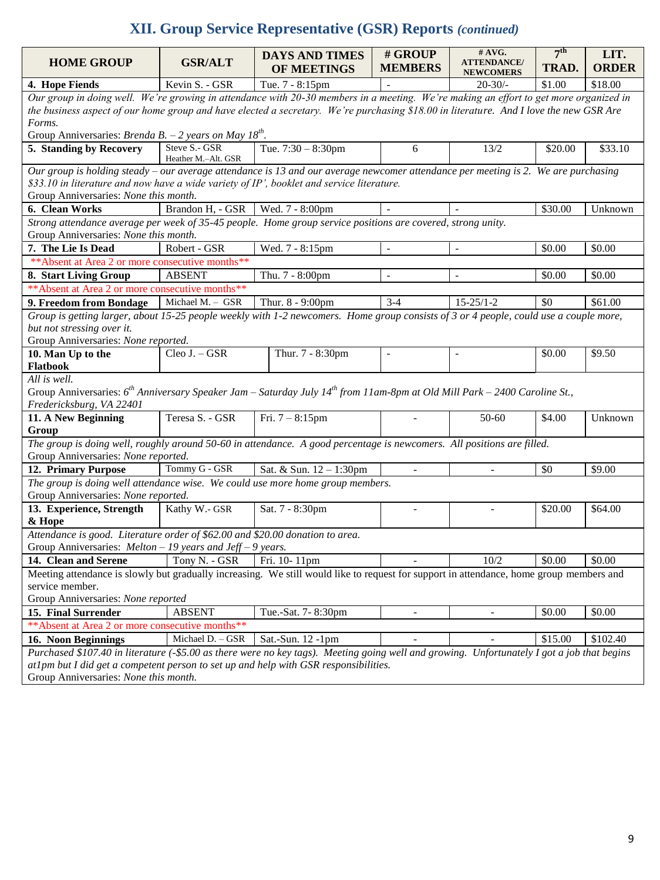# **XII. Group Service Representative (GSR) Reports** *(continued)*

| <b>HOME GROUP</b>                                                                                                                                       | <b>GSR/ALT</b>      | <b>DAYS AND TIMES</b><br>OF MEETINGS | # GROUP<br><b>MEMBERS</b>   | $#$ AVG.<br><b>ATTENDANCE/</b> | 7 <sup>th</sup><br>TRAD. | LIT.<br><b>ORDER</b> |
|---------------------------------------------------------------------------------------------------------------------------------------------------------|---------------------|--------------------------------------|-----------------------------|--------------------------------|--------------------------|----------------------|
|                                                                                                                                                         | Kevin S. - GSR      |                                      |                             | <b>NEWCOMERS</b>               |                          |                      |
| 4. Hope Fiends<br>Our group in doing well. We're growing in attendance with 20-30 members in a meeting. We're making an effort to get more organized in |                     | Tue. 7 - 8:15pm                      |                             | $20 - 30/$                     | \$1.00                   | \$18.00              |
| the business aspect of our home group and have elected a secretary. We're purchasing \$18.00 in literature. And I love the new GSR Are                  |                     |                                      |                             |                                |                          |                      |
| Forms.                                                                                                                                                  |                     |                                      |                             |                                |                          |                      |
| Group Anniversaries: <i>Brenda B.</i> – 2 years on May 18 <sup>th</sup> .                                                                               |                     |                                      |                             |                                |                          |                      |
| 5. Standing by Recovery                                                                                                                                 | Steve S.- GSR       | Tue. $7:30 - 8:30$ pm                | 6                           | 13/2                           | \$20.00                  | \$33.10              |
|                                                                                                                                                         | Heather M.-Alt. GSR |                                      |                             |                                |                          |                      |
| Our group is holding steady – our average attendance is 13 and our average newcomer attendance per meeting is 2. We are purchasing                      |                     |                                      |                             |                                |                          |                      |
| \$33.10 in literature and now have a wide variety of IP', booklet and service literature.                                                               |                     |                                      |                             |                                |                          |                      |
| Group Anniversaries: None this month.                                                                                                                   |                     |                                      |                             |                                |                          |                      |
| 6. Clean Works                                                                                                                                          | Brandon H, - GSR    | Wed. 7 - 8:00pm                      |                             |                                | \$30.00                  | Unknown              |
| Strong attendance average per week of 35-45 people. Home group service positions are covered, strong unity.                                             |                     |                                      |                             |                                |                          |                      |
| Group Anniversaries: None this month.                                                                                                                   |                     |                                      |                             |                                |                          |                      |
| 7. The Lie Is Dead                                                                                                                                      | Robert - GSR        | Wed. 7 - 8:15pm                      | $\blacksquare$              | $\blacksquare$                 | \$0.00                   | \$0.00               |
| ** Absent at Area 2 or more consecutive months**                                                                                                        |                     |                                      |                             |                                |                          |                      |
| 8. Start Living Group                                                                                                                                   | <b>ABSENT</b>       | Thu. 7 - 8:00pm                      | $\blacksquare$              |                                | \$0.00                   | \$0.00               |
| ** Absent at Area 2 or more consecutive months**                                                                                                        |                     |                                      |                             |                                |                          |                      |
| 9. Freedom from Bondage                                                                                                                                 | Michael M. - GSR    | Thur. 8 - 9:00pm                     | $3-4$                       | $15 - 25/1 - 2$                | \$0                      | \$61.00              |
| Group is getting larger, about 15-25 people weekly with 1-2 newcomers. Home group consists of 3 or 4 people, could use a couple more,                   |                     |                                      |                             |                                |                          |                      |
| but not stressing over it.                                                                                                                              |                     |                                      |                             |                                |                          |                      |
| Group Anniversaries: None reported.                                                                                                                     |                     |                                      |                             |                                |                          |                      |
| 10. Man Up to the                                                                                                                                       | Cleo J. - GSR       | Thur. 7 - 8:30pm                     | $\sim$                      | $\overline{a}$                 | \$0.00                   | \$9.50               |
| <b>Flatbook</b>                                                                                                                                         |                     |                                      |                             |                                |                          |                      |
| All is well.                                                                                                                                            |                     |                                      |                             |                                |                          |                      |
| Group Anniversaries: $6^{th}$ Anniversary Speaker Jam – Saturday July 14 <sup>th</sup> from 11am-8pm at Old Mill Park – 2400 Caroline St.,              |                     |                                      |                             |                                |                          |                      |
| Fredericksburg, VA 22401                                                                                                                                |                     |                                      |                             |                                |                          |                      |
| 11. A New Beginning                                                                                                                                     | Teresa S. - GSR     | Fri. $7 - 8:15$ pm                   |                             | 50-60                          | \$4.00                   | Unknown              |
| Group                                                                                                                                                   |                     |                                      |                             |                                |                          |                      |
| The group is doing well, roughly around 50-60 in attendance. A good percentage is newcomers. All positions are filled.                                  |                     |                                      |                             |                                |                          |                      |
| Group Anniversaries: None reported.                                                                                                                     |                     |                                      |                             |                                |                          |                      |
| 12. Primary Purpose                                                                                                                                     | Tommy G - GSR       | Sat. & Sun. 12 - 1:30pm              | $\mathcal{L}^{\mathcal{A}}$ |                                | \$0                      | \$9.00               |
| The group is doing well attendance wise. We could use more home group members.                                                                          |                     |                                      |                             |                                |                          |                      |
| Group Anniversaries: None reported.                                                                                                                     |                     |                                      |                             |                                |                          |                      |
| 13. Experience, Strength                                                                                                                                | Kathy W.- GSR       | Sat. 7 - 8:30pm                      |                             |                                | \$20.00                  | \$64.00              |
| & Hope                                                                                                                                                  |                     |                                      |                             |                                |                          |                      |
| Attendance is good. Literature order of \$62.00 and \$20.00 donation to area.                                                                           |                     |                                      |                             |                                |                          |                      |
| Group Anniversaries: $Melton - 19$ years and Jeff - 9 years.                                                                                            |                     |                                      |                             |                                |                          |                      |
| 14. Clean and Serene                                                                                                                                    | Tony N. - GSR       | Fri. 10-11pm                         |                             | 10/2                           | \$0.00                   | \$0.00               |
| Meeting attendance is slowly but gradually increasing. We still would like to request for support in attendance, home group members and                 |                     |                                      |                             |                                |                          |                      |
| service member.                                                                                                                                         |                     |                                      |                             |                                |                          |                      |
| Group Anniversaries: None reported                                                                                                                      |                     |                                      |                             |                                |                          |                      |
| 15. Final Surrender                                                                                                                                     | <b>ABSENT</b>       | Tue.-Sat. 7-8:30pm                   |                             |                                | \$0.00                   | \$0.00               |
| ** Absent at Area 2 or more consecutive months**                                                                                                        |                     |                                      |                             |                                |                          |                      |
| 16. Noon Beginnings                                                                                                                                     | Michael D. - GSR    | Sat.-Sun. 12 -1pm                    |                             |                                | \$15.00                  | \$102.40             |
| Purchased \$107.40 in literature (-\$5.00 as there were no key tags). Meeting going well and growing. Unfortunately I got a job that begins             |                     |                                      |                             |                                |                          |                      |
| at1pm but I did get a competent person to set up and help with GSR responsibilities.                                                                    |                     |                                      |                             |                                |                          |                      |
| Group Anniversaries: None this month.                                                                                                                   |                     |                                      |                             |                                |                          |                      |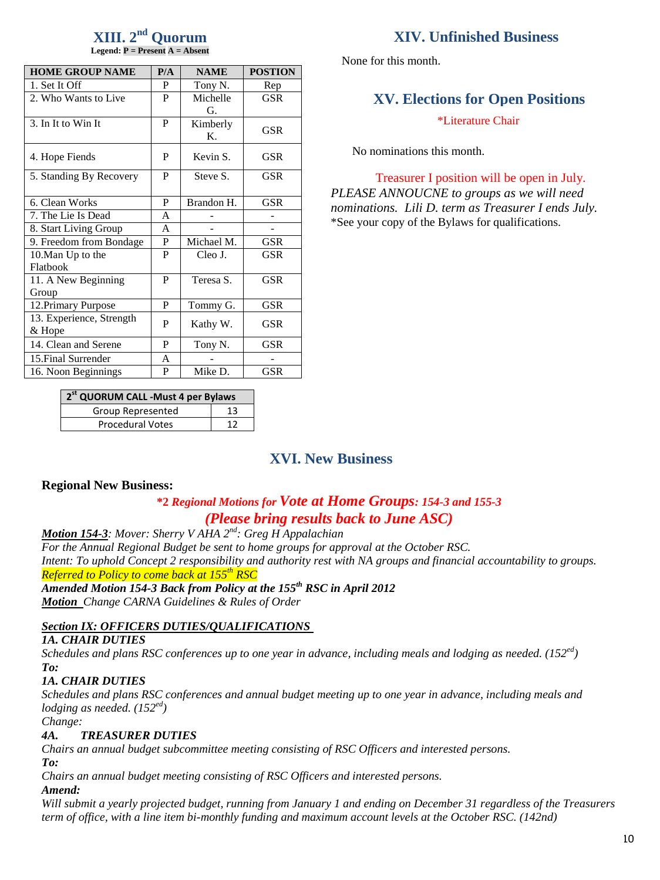#### $\boldsymbol{\mathrm{XIII.}}\ 2^{\text{nd}}$  Quorum **Legend: P = Present A = Absent**

| <b>HOME GROUP NAME</b>   | P/A | <b>NAME</b>    | <b>POSTION</b> |
|--------------------------|-----|----------------|----------------|
| 1. Set It Off            | P   | Tony N.        | Rep            |
| 2. Who Wants to Live     | P   | Michelle       | <b>GSR</b>     |
|                          |     | G.             |                |
| 3. In It to Win It       | P   | Kimberly       | <b>GSR</b>     |
|                          |     | $\mathbf{K}$ . |                |
| 4. Hope Fiends           | P   | Kevin S.       | <b>GSR</b>     |
|                          |     |                |                |
| 5. Standing By Recovery  | P   | Steve S.       | <b>GSR</b>     |
|                          |     |                |                |
| 6. Clean Works           | P   | Brandon H.     | <b>GSR</b>     |
| 7. The Lie Is Dead       | A   |                |                |
| 8. Start Living Group    | A   |                |                |
| 9. Freedom from Bondage  | P   | Michael M.     | <b>GSR</b>     |
| 10. Man Up to the        | P   | Cleo J.        | GSR            |
| Flatbook                 |     |                |                |
| 11. A New Beginning      | P   | Teresa S.      | <b>GSR</b>     |
| Group                    |     |                |                |
| 12. Primary Purpose      | P   | Tommy G.       | <b>GSR</b>     |
| 13. Experience, Strength | P   |                | GSR            |
| & Hope                   |     | Kathy W.       |                |
| 14. Clean and Serene     | P   | Tony N.        | GSR            |
| 15. Final Surrender      | A   |                |                |
| 16. Noon Beginnings      | P   | Mike D.        | GSR            |

# **XIV. Unfinished Business**

None for this month.

# **XV. Elections for Open Positions**

\*Literature Chair

No nominations this month.

Treasurer I position will be open in July. *PLEASE ANNOUCNE to groups as we will need nominations. Lili D. term as Treasurer I ends July.* \*See your copy of the Bylaws for qualifications.

| 2 <sup>st</sup> QUORUM CALL - Must 4 per Bylaws |    |  |  |  |  |  |
|-------------------------------------------------|----|--|--|--|--|--|
| Group Represented                               | 13 |  |  |  |  |  |
| <b>Procedural Votes</b>                         |    |  |  |  |  |  |

# **XVI. New Business**

# **Regional New Business:**

# **\*2** *Regional Motions for Vote at Home Groups: 154-3 and 155-3 (Please bring results back to June ASC)*

*Motion 154-3: Mover: Sherry V AHA 2nd: Greg H Appalachian For the Annual Regional Budget be sent to home groups for approval at the October RSC. Intent: To uphold Concept 2 responsibility and authority rest with NA groups and financial accountability to groups. Referred to Policy to come back at 155th RSC*

*Amended Motion 154-3 Back from Policy at the 155th RSC in April 2012 Motion Change CARNA Guidelines & Rules of Order*

# *Section IX: OFFICERS DUTIES/QUALIFICATIONS*

#### *1A. CHAIR DUTIES*

*Schedules and plans RSC conferences up to one year in advance, including meals and lodging as needed. (152ed) To:*

# *1A. CHAIR DUTIES*

*Schedules and plans RSC conferences and annual budget meeting up to one year in advance, including meals and lodging as needed. (152ed)*

*Change:*

# *4A. TREASURER DUTIES*

*Chairs an annual budget subcommittee meeting consisting of RSC Officers and interested persons.*

*To:*

*Chairs an annual budget meeting consisting of RSC Officers and interested persons.*

# *Amend:*

*Will submit a yearly projected budget, running from January 1 and ending on December 31 regardless of the Treasurers term of office, with a line item bi-monthly funding and maximum account levels at the October RSC. (142nd)*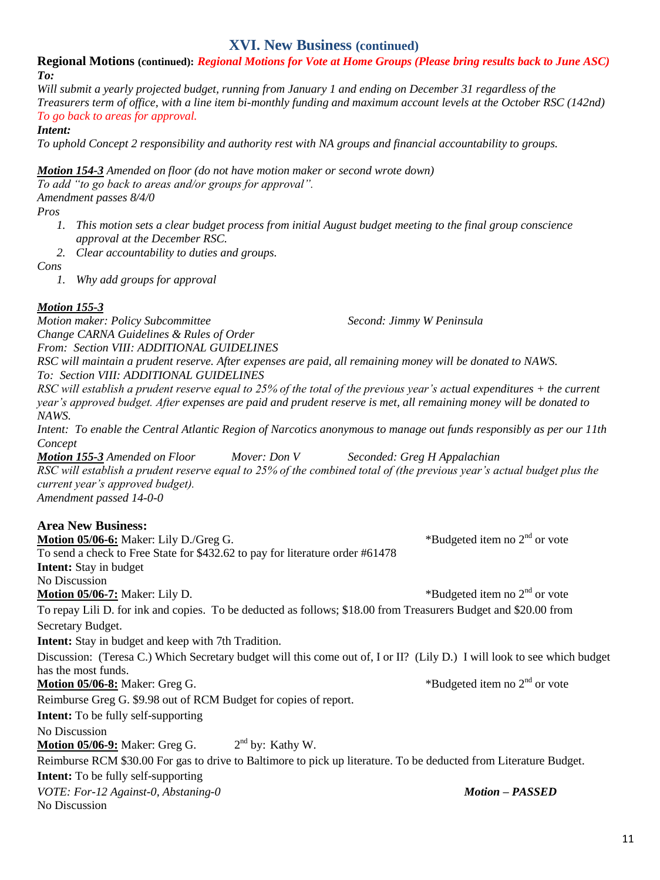# **XVI. New Business (continued)**

#### **Regional Motions (continued):** *Regional Motions for Vote at Home Groups (Please bring results back to June ASC) To:*

*Will submit a yearly projected budget, running from January 1 and ending on December 31 regardless of the Treasurers term of office, with a line item bi-monthly funding and maximum account levels at the October RSC (142nd) To go back to areas for approval.*

*Intent:* 

*To uphold Concept 2 responsibility and authority rest with NA groups and financial accountability to groups.*

*Motion 154-3 Amended on floor (do not have motion maker or second wrote down)*

*To add "to go back to areas and/or groups for approval".* 

*Amendment passes 8/4/0*

*Pros*

- *1. This motion sets a clear budget process from initial August budget meeting to the final group conscience approval at the December RSC.*
- *2. Clear accountability to duties and groups.*

*Cons*

*1. Why add groups for approval*

# *Motion 155-3*

*Motion maker: Policy Subcommittee Second: Jimmy W Peninsula Change CARNA Guidelines & Rules of Order*

*From: Section VIII: ADDITIONAL GUIDELINES RSC will maintain a prudent reserve. After expenses are paid, all remaining money will be donated to NAWS. To: Section VIII: ADDITIONAL GUIDELINES* 

*RSC will establish a prudent reserve equal to 25% of the total of the previous year's actual expenditures + the current year's approved budget. After expenses are paid and prudent reserve is met, all remaining money will be donated to NAWS.* 

*Intent: To enable the Central Atlantic Region of Narcotics anonymous to manage out funds responsibly as per our 11th Concept*

*Motion 155-3 Amended on Floor Mover: Don V Seconded: Greg H Appalachian RSC will establish a prudent reserve equal to 25% of the combined total of (the previous year's actual budget plus the current year's approved budget). Amendment passed 14-0-0*

# **Area New Business:**

**Motion 05/06-6:** Maker: Lily D./Greg G.  $*$ Budgeted item no 2<sup>nd</sup> or vote To send a check to Free State for \$432.62 to pay for literature order #61478 **Intent:** Stay in budget No Discussion **Motion 05/06-7:** Maker: Lily D.  $*$ Budgeted item no 2<sup>nd</sup> or vote To repay Lili D. for ink and copies. To be deducted as follows; \$18.00 from Treasurers Budget and \$20.00 from Secretary Budget. **Intent:** Stay in budget and keep with 7th Tradition. Discussion: (Teresa C.) Which Secretary budget will this come out of, I or II? (Lily D.) I will look to see which budget has the most funds. **Motion 05/06-8:** Maker: Greg G. \*Budgeted item no 2nd or vote Reimburse Greg G. \$9.98 out of RCM Budget for copies of report. **Intent:** To be fully self-supporting No Discussion **Motion 05/06-9:** Maker: Greg G. 2  $2<sup>nd</sup>$  by: Kathy W. Reimburse RCM \$30.00 For gas to drive to Baltimore to pick up literature. To be deducted from Literature Budget. **Intent:** To be fully self-supporting *VOTE: For-12 Against-0, Abstaning-0 Motion – PASSED* No Discussion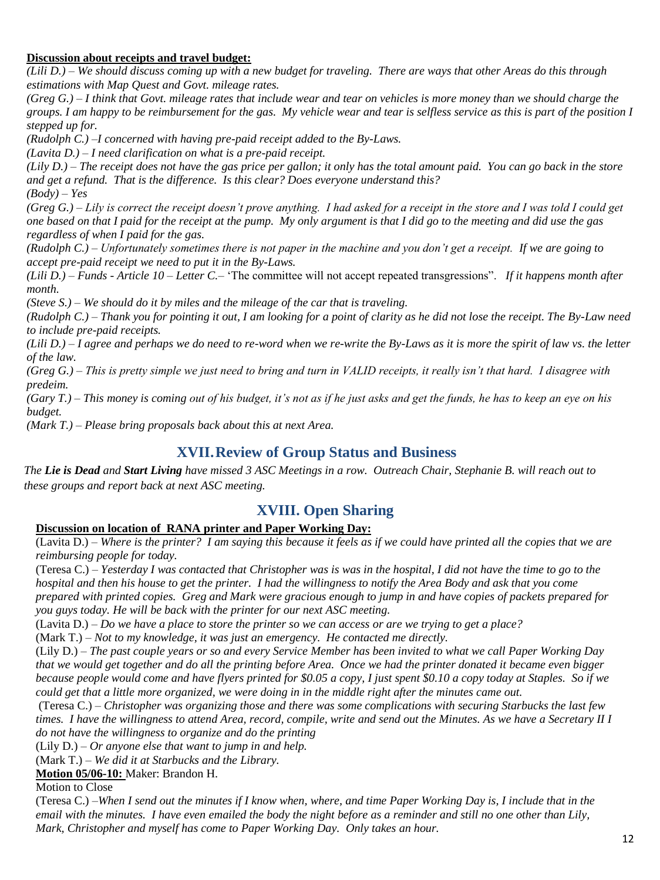# **Discussion about receipts and travel budget:**

*(Lili D.) – We should discuss coming up with a new budget for traveling. There are ways that other Areas do this through estimations with Map Quest and Govt. mileage rates.*

*(Greg G.) – I think that Govt. mileage rates that include wear and tear on vehicles is more money than we should charge the groups. I am happy to be reimbursement for the gas. My vehicle wear and tear is selfless service as this is part of the position I stepped up for.*

*(Rudolph C.) –I concerned with having pre-paid receipt added to the By-Laws.*

*(Lavita D.) – I need clarification on what is a pre-paid receipt.*

*(Lily D.) – The receipt does not have the gas price per gallon; it only has the total amount paid. You can go back in the store and get a refund. That is the difference. Is this clear? Does everyone understand this? (Body) – Yes*

*(Greg G.) – Lily is correct the receipt doesn't prove anything. I had asked for a receipt in the store and I was told I could get one based on that I paid for the receipt at the pump. My only argument is that I did go to the meeting and did use the gas regardless of when I paid for the gas.*

*(Rudolph C.) – Unfortunately sometimes there is not paper in the machine and you don't get a receipt. If we are going to accept pre-paid receipt we need to put it in the By-Laws.*

*(Lili D.) – Funds - Article 10 – Letter C.–* 'The committee will not accept repeated transgressions". *If it happens month after month.*

*(Steve S.) – We should do it by miles and the mileage of the car that is traveling.*

*(Rudolph C.) – Thank you for pointing it out, I am looking for a point of clarity as he did not lose the receipt. The By-Law need to include pre-paid receipts.*

*(Lili D.) – I agree and perhaps we do need to re-word when we re-write the By-Laws as it is more the spirit of law vs. the letter of the law.*

*(Greg G.) – This is pretty simple we just need to bring and turn in VALID receipts, it really isn't that hard. I disagree with predeim.*

*(Gary T.) – This money is coming out of his budget, it's not as if he just asks and get the funds, he has to keep an eye on his budget.*

*(Mark T.) – Please bring proposals back about this at next Area.*

# **XVII.Review of Group Status and Business**

*The Lie is Dead and Start Living have missed 3 ASC Meetings in a row. Outreach Chair, Stephanie B. will reach out to these groups and report back at next ASC meeting.*

# **XVIII. Open Sharing**

# **Discussion on location of RANA printer and Paper Working Day:**

(Lavita D.) – *Where is the printer? I am saying this because it feels as if we could have printed all the copies that we are reimbursing people for today.*

(Teresa C.) – *Yesterday I was contacted that Christopher was is was in the hospital, I did not have the time to go to the hospital and then his house to get the printer. I had the willingness to notify the Area Body and ask that you come prepared with printed copies. Greg and Mark were gracious enough to jump in and have copies of packets prepared for you guys today. He will be back with the printer for our next ASC meeting.* 

(Lavita D.) – *Do we have a place to store the printer so we can access or are we trying to get a place?*

(Mark T.) – *Not to my knowledge, it was just an emergency. He contacted me directly.*

(Lily D.) – *The past couple years or so and every Service Member has been invited to what we call Paper Working Day that we would get together and do all the printing before Area. Once we had the printer donated it became even bigger because people would come and have flyers printed for \$0.05 a copy, I just spent \$0.10 a copy today at Staples. So if we could get that a little more organized, we were doing in in the middle right after the minutes came out.* 

(Teresa C.) – *Christopher was organizing those and there was some complications with securing Starbucks the last few times. I have the willingness to attend Area, record, compile, write and send out the Minutes. As we have a Secretary II I do not have the willingness to organize and do the printing*

(Lily D.) – *Or anyone else that want to jump in and help.*

(Mark T.) – *We did it at Starbucks and the Library.*

**Motion 05/06-10:** Maker: Brandon H.

Motion to Close

(Teresa C.) –*When I send out the minutes if I know when, where, and time Paper Working Day is, I include that in the email with the minutes. I have even emailed the body the night before as a reminder and still no one other than Lily, Mark, Christopher and myself has come to Paper Working Day. Only takes an hour.*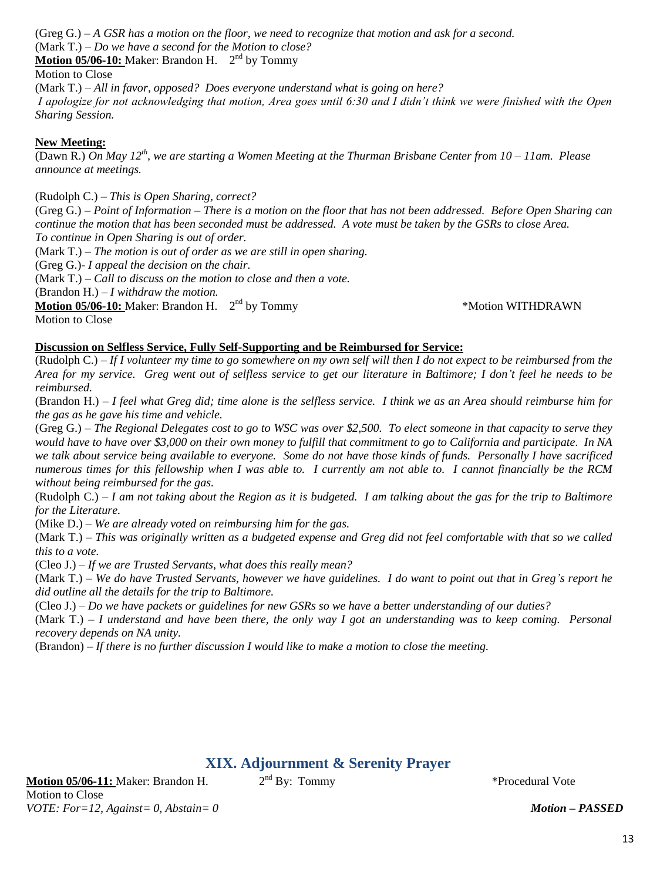(Greg G.) *– A GSR has a motion on the floor, we need to recognize that motion and ask for a second.* (Mark T.) *– Do we have a second for the Motion to close?* 

Motion 05/06-10: Maker: Brandon H. 2<sup>nd</sup> by Tommy

Motion to Close

(Mark T.) *– All in favor, opposed? Does everyone understand what is going on here? I apologize for not acknowledging that motion, Area goes until 6:30 and I didn't think we were finished with the Open Sharing Session.*

# **New Meeting:**

(Dawn R.) *On May 12 th, we are starting a Women Meeting at the Thurman Brisbane Center from 10 – 11am. Please announce at meetings.* 

(Rudolph C.) *– This is Open Sharing, correct?*

(Greg G.) *– Point of Information – There is a motion on the floor that has not been addressed. Before Open Sharing can continue the motion that has been seconded must be addressed. A vote must be taken by the GSRs to close Area. To continue in Open Sharing is out of order.*

(Mark T.) *– The motion is out of order as we are still in open sharing.*

(Greg G.)- *I appeal the decision on the chair.*

(Mark T.) *– Call to discuss on the motion to close and then a vote.*

(Brandon H.) *– I withdraw the motion.*

**Motion 05/06-10:** Maker: Brandon H. 2<sup>nd</sup> by Tommy

Motion to Close

\*Motion WITHDRAWN

#### **Discussion on Selfless Service, Fully Self-Supporting and be Reimbursed for Service:**

(Rudolph C.) *– If I volunteer my time to go somewhere on my own self will then I do not expect to be reimbursed from the Area for my service. Greg went out of selfless service to get our literature in Baltimore; I don't feel he needs to be reimbursed.*

(Brandon H.) – *I feel what Greg did; time alone is the selfless service. I think we as an Area should reimburse him for the gas as he gave his time and vehicle.*

(Greg G.) – *The Regional Delegates cost to go to WSC was over \$2,500. To elect someone in that capacity to serve they would have to have over \$3,000 on their own money to fulfill that commitment to go to California and participate. In NA we talk about service being available to everyone. Some do not have those kinds of funds. Personally I have sacrificed numerous times for this fellowship when I was able to. I currently am not able to. I cannot financially be the RCM without being reimbursed for the gas.*

(Rudolph C.) – *I am not taking about the Region as it is budgeted. I am talking about the gas for the trip to Baltimore for the Literature.*

(Mike D.) – *We are already voted on reimbursing him for the gas.*

(Mark T.) – *This was originally written as a budgeted expense and Greg did not feel comfortable with that so we called this to a vote.*

(Cleo J.) – *If we are Trusted Servants, what does this really mean?*

(Mark T.) – *We do have Trusted Servants, however we have guidelines. I do want to point out that in Greg's report he did outline all the details for the trip to Baltimore.*

(Cleo J.) – *Do we have packets or guidelines for new GSRs so we have a better understanding of our duties?*

(Mark T.) – *I understand and have been there, the only way I got an understanding was to keep coming. Personal recovery depends on NA unity.*

(Brandon) – *If there is no further discussion I would like to make a motion to close the meeting.*

# **XIX. Adjournment & Serenity Prayer**

**Motion 05/06-11:** Maker: Brandon H. 2 Motion to Close *VOTE: For=12, Against= 0, Abstain= 0 Motion – PASSED*

 $2<sup>nd</sup>$  By: Tommy  $*$ Procedural Vote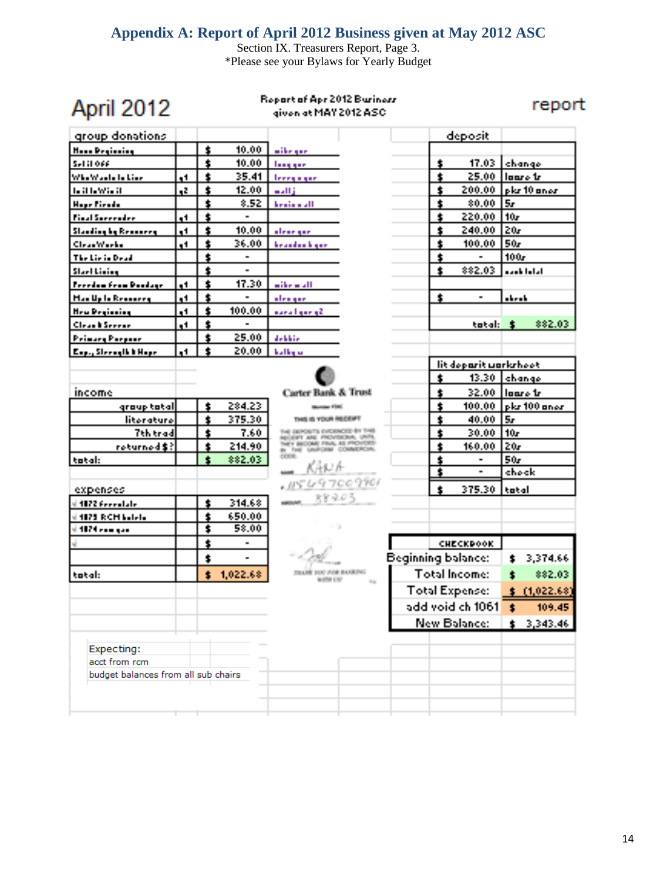# **Appendix A: Report of April 2012 Business given at May 2012 ASC**

Section IX. Treasurers Report, Page 3. \*Please see your Bylaws for Yearly Budget

| n Filo<br>п. | 21 |    |
|--------------|----|----|
|              |    | æ. |

Report of Apr 2012 Buriness given at MAY 2012 ASC.

report

| group donations                     |                |                      |                |                                                                    |                            | deposit                         |                                  |  |
|-------------------------------------|----------------|----------------------|----------------|--------------------------------------------------------------------|----------------------------|---------------------------------|----------------------------------|--|
| <b>Hood Projecting</b>              |                | $\pmb{\ast}$         | 10.00          | $\sim$ it is given                                                 |                            |                                 |                                  |  |
| Sel il ove                          |                | $\pmb{\ast}$         | 10.00          | <b>Long gain</b>                                                   |                            | 17.03<br>t                      | change                           |  |
| Whe's' auto to Live                 | a 1            | $\ddot{\phantom{a}}$ | 35.41          | <b>Lee equippe</b>                                                 |                            | $\mathbf{r}$<br>25.00           | Hoare tr                         |  |
| <b>LitteWisit</b>                   | $\mathbf{z}_n$ | $\ddot{\phantom{a}}$ | 12.00          | $m$ all $\ddot{\textbf{j}}$                                        |                            | Ť.<br>200.00                    | pla 10 anos                      |  |
| <b>Hope Piends</b>                  |                | $\pmb{\ast}$         | 8.52           | <b>Leaders AT</b>                                                  |                            | ŧ<br>80.00                      | 5r                               |  |
| <b>Pinal Surrender</b>              | 41             | ¢                    |                |                                                                    |                            | 220.00<br>t                     | l 10r                            |  |
| <b>Standing by Remaining</b>        | q1             | ś                    | 10.00          | alea <u>rgae</u>                                                   |                            | ś.<br>240.00                    | l 20r                            |  |
| ClearWorks                          | 41             | ś.                   | 36.00          | <b>Installation</b> Inspires                                       |                            | t<br>100.00                     | 50r                              |  |
| The Lie is Dead                     |                | $\ddot{\phantom{a}}$ |                |                                                                    |                            | t                               | 100,                             |  |
| Start Lining                        |                | $\bullet$            | $\blacksquare$ |                                                                    |                            | 882.03<br>$\bullet$             | a an bhallal                     |  |
| <b>Perchanters Poolse</b>           | $\blacksquare$ | $\ddot{\phantom{a}}$ | 17.30          | with a still                                                       |                            |                                 |                                  |  |
| <b>Han Up to Resource</b>           | q4             | $\ddot{\phantom{a}}$ | $\blacksquare$ | alengae.                                                           |                            | $\pmb{\cdot}$<br>$\blacksquare$ | a ke a k                         |  |
| <b>Hew Peginning</b>                | $1$            | $\ddot{\phantom{a}}$ | 100.00         | auru Lynnyd                                                        |                            |                                 |                                  |  |
| <b>Clean b Second</b>               | $\blacksquare$ | $\ddot{\phantom{a}}$ |                |                                                                    |                            | tatal: \$                       | \$\$2.03                         |  |
| <b>Prinary Perpear</b>              |                | $\hat{\bm{r}}$       | 25.00          | <b>Jokkie</b>                                                      |                            |                                 |                                  |  |
| Exp., Steerall & Hope               | $\blacksquare$ | $\mathbf{r}$         | 20.00          | kathy ar                                                           |                            |                                 |                                  |  |
|                                     |                |                      |                |                                                                    |                            | lit deparit worksheet           |                                  |  |
|                                     |                |                      |                |                                                                    |                            | ŧ                               | 13.30   changel                  |  |
| income                              |                |                      |                | Carter Bank & Trust                                                |                            | 1                               | 32.00 Hours tr                   |  |
| graup tatal                         |                | $\ddagger$           | 284.23         | <b>Automobile Editor</b>                                           |                            | $\pmb{\dot{r}}$                 | 100.00 $\frac{1}{2}$ kg 100 anos |  |
| literature                          |                | $\ddot{\phantom{a}}$ | 375.30         | THAT IS YOUR REPORT.                                               |                            | $\bullet$<br>40.00              | l Sri                            |  |
| <b>Tth trad</b>                     |                | $\pmb{\ast}$         | 7.60           | THE DEPOSITS EVOLVOLED BY THIS<br>ECONOMIC ARE PROVIDED IN , UNTIL |                            | 30.00<br>$\pmb{\cdot}$          | l 10r                            |  |
| roturned\$?                         |                | $\ddagger$           | 214.90         | THEY INSOME FIVE, AS PROVIDED<br>IN THE UNIFORM COMMERCIAL         |                            | $\pmb{\ast}$<br>160.00          | $\overline{20r}$                 |  |
| tatal:                              |                | $\hat{\mathbf{r}}$   | 882.03         | COURS.                                                             |                            | ś<br>$\blacksquare$             | 50r                              |  |
|                                     |                |                      |                | — KANA                                                             |                            | \$<br>$\blacksquare$            | check                            |  |
| expenses                            |                |                      |                | 15697009901                                                        |                            | ¢.<br>375.30                    | tatal                            |  |
| si 1872 ferentate                   |                | $\pmb{\ast}$         | 314.68         | $-889.03$                                                          |                            |                                 |                                  |  |
| d 1873 RCM batela                   |                | $\ddot{\phantom{a}}$ | 650.00         |                                                                    |                            |                                 |                                  |  |
| d 1874 en a gun                     |                | Ŧ                    | 58.00          |                                                                    |                            |                                 |                                  |  |
|                                     |                | $\ddot{\phantom{a}}$ | $\blacksquare$ |                                                                    |                            | <b>CHECKPOOK</b>                |                                  |  |
|                                     |                | $\ddot{\phantom{a}}$ |                |                                                                    |                            | <b>Beginning balance:</b>       | 3,374.66<br>t                    |  |
| tatal:                              |                | ś.                   | 1.022.68       | THANK FOR ARM BAARING<br><b>BUSINESS</b>                           |                            | <b>Total Income:</b>            | \$\$2.03<br>Ť.                   |  |
|                                     |                |                      |                |                                                                    | $\mathcal{H}_{\mathrm{H}}$ | <b>Total Expense:</b>           | \$(1,022.68)                     |  |
|                                     |                |                      |                |                                                                    |                            | add void ch 1061                | 109.45<br>Ť.                     |  |
|                                     |                |                      |                |                                                                    |                            | <b>New Balance:</b>             | \$3,343.46                       |  |
|                                     |                |                      |                |                                                                    |                            |                                 |                                  |  |
| Expecting:                          |                |                      |                |                                                                    |                            |                                 |                                  |  |
| acct from rcm                       |                |                      |                |                                                                    |                            |                                 |                                  |  |
| budget balances from all sub chairs |                |                      |                |                                                                    |                            |                                 |                                  |  |
|                                     |                |                      |                |                                                                    |                            |                                 |                                  |  |
|                                     |                |                      |                |                                                                    |                            |                                 |                                  |  |
|                                     |                |                      |                |                                                                    |                            |                                 |                                  |  |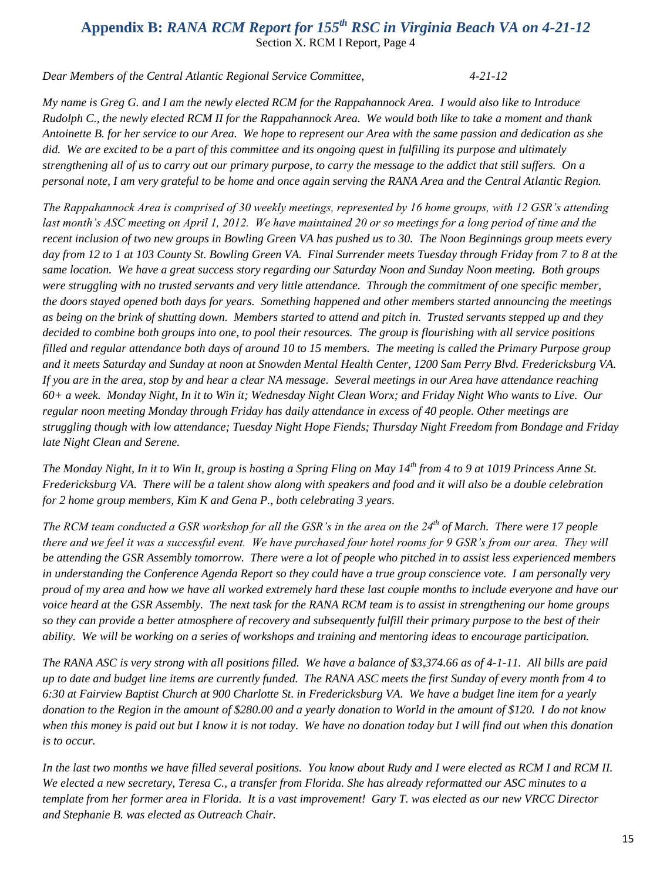# **Appendix B:** *RANA RCM Report for 155th RSC in Virginia Beach VA on 4-21-12* Section X. RCM I Report, Page 4

*Dear Members of the Central Atlantic Regional Service Committee, 4-21-12*

*My name is Greg G. and I am the newly elected RCM for the Rappahannock Area. I would also like to Introduce Rudolph C., the newly elected RCM II for the Rappahannock Area. We would both like to take a moment and thank Antoinette B. for her service to our Area. We hope to represent our Area with the same passion and dedication as she did. We are excited to be a part of this committee and its ongoing quest in fulfilling its purpose and ultimately strengthening all of us to carry out our primary purpose, to carry the message to the addict that still suffers. On a personal note, I am very grateful to be home and once again serving the RANA Area and the Central Atlantic Region.*

*The Rappahannock Area is comprised of 30 weekly meetings, represented by 16 home groups, with 12 GSR's attending*  last month's ASC meeting on April 1, 2012. We have maintained 20 or so meetings for a long period of time and the *recent inclusion of two new groups in Bowling Green VA has pushed us to 30. The Noon Beginnings group meets every day from 12 to 1 at 103 County St. Bowling Green VA. Final Surrender meets Tuesday through Friday from 7 to 8 at the same location. We have a great success story regarding our Saturday Noon and Sunday Noon meeting. Both groups were struggling with no trusted servants and very little attendance. Through the commitment of one specific member, the doors stayed opened both days for years. Something happened and other members started announcing the meetings as being on the brink of shutting down. Members started to attend and pitch in. Trusted servants stepped up and they decided to combine both groups into one, to pool their resources. The group is flourishing with all service positions filled and regular attendance both days of around 10 to 15 members. The meeting is called the Primary Purpose group and it meets Saturday and Sunday at noon at Snowden Mental Health Center, 1200 Sam Perry Blvd. Fredericksburg VA. If you are in the area, stop by and hear a clear NA message. Several meetings in our Area have attendance reaching 60+ a week. Monday Night, In it to Win it; Wednesday Night Clean Worx; and Friday Night Who wants to Live. Our regular noon meeting Monday through Friday has daily attendance in excess of 40 people. Other meetings are struggling though with low attendance; Tuesday Night Hope Fiends; Thursday Night Freedom from Bondage and Friday late Night Clean and Serene.* 

*The Monday Night, In it to Win It, group is hosting a Spring Fling on May 14th from 4 to 9 at 1019 Princess Anne St. Fredericksburg VA. There will be a talent show along with speakers and food and it will also be a double celebration for 2 home group members, Kim K and Gena P., both celebrating 3 years.*

*The RCM team conducted a GSR workshop for all the GSR's in the area on the 24th of March. There were 17 people there and we feel it was a successful event. We have purchased four hotel rooms for 9 GSR's from our area. They will be attending the GSR Assembly tomorrow. There were a lot of people who pitched in to assist less experienced members in understanding the Conference Agenda Report so they could have a true group conscience vote. I am personally very proud of my area and how we have all worked extremely hard these last couple months to include everyone and have our voice heard at the GSR Assembly. The next task for the RANA RCM team is to assist in strengthening our home groups so they can provide a better atmosphere of recovery and subsequently fulfill their primary purpose to the best of their ability. We will be working on a series of workshops and training and mentoring ideas to encourage participation.* 

*The RANA ASC is very strong with all positions filled. We have a balance of \$3,374.66 as of 4-1-11. All bills are paid up to date and budget line items are currently funded. The RANA ASC meets the first Sunday of every month from 4 to 6:30 at Fairview Baptist Church at 900 Charlotte St. in Fredericksburg VA. We have a budget line item for a yearly donation to the Region in the amount of \$280.00 and a yearly donation to World in the amount of \$120. I do not know when this money is paid out but I know it is not today. We have no donation today but I will find out when this donation is to occur.*

*In the last two months we have filled several positions. You know about Rudy and I were elected as RCM I and RCM II. We elected a new secretary, Teresa C., a transfer from Florida. She has already reformatted our ASC minutes to a template from her former area in Florida. It is a vast improvement! Gary T. was elected as our new VRCC Director and Stephanie B. was elected as Outreach Chair.*